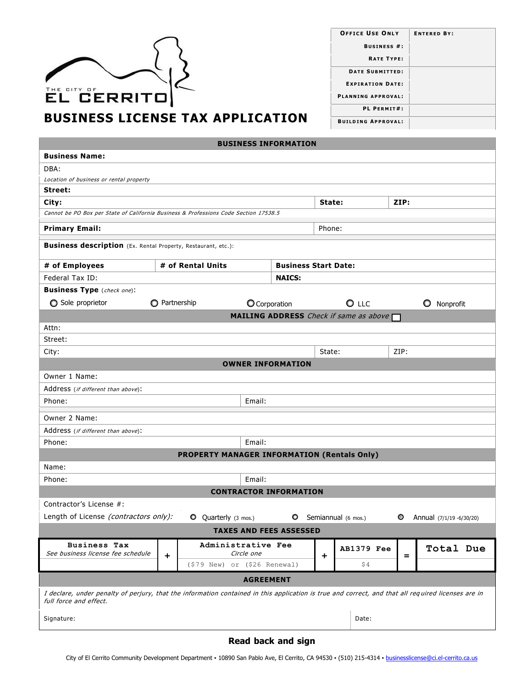| THE CITY OF<br>EL CERRITO)              |
|-----------------------------------------|
| <b>BUSINESS LICENSE TAX APPLICATION</b> |

| <b>OFFICE USE ONLY</b>    | <b>ENTERED BY:</b> |
|---------------------------|--------------------|
| <b>BUSINESS #:</b>        |                    |
| <b>RATE TYPE:</b>         |                    |
| <b>DATE SUBMITTED:</b>    |                    |
| <b>EXPIRATION DATE:</b>   |                    |
| <b>PLANNING APPROVAL:</b> |                    |
| PL PERMIT#:               |                    |
| <b>BUILDING APPROVAL:</b> |                    |

**BUSINESS INFORMATION**

| <b>Business Name:</b>                                                                                                                                                        |                      |                                                      |               |                               |        |                                               |      |                          |
|------------------------------------------------------------------------------------------------------------------------------------------------------------------------------|----------------------|------------------------------------------------------|---------------|-------------------------------|--------|-----------------------------------------------|------|--------------------------|
| DBA:                                                                                                                                                                         |                      |                                                      |               |                               |        |                                               |      |                          |
| Location of business or rental property                                                                                                                                      |                      |                                                      |               |                               |        |                                               |      |                          |
| Street:                                                                                                                                                                      |                      |                                                      |               |                               |        |                                               |      |                          |
| City:                                                                                                                                                                        |                      |                                                      |               |                               | State: |                                               | ZIP: |                          |
| Cannot be PO Box per State of California Business & Professions Code Section 17538.5                                                                                         |                      |                                                      |               |                               |        |                                               |      |                          |
| <b>Primary Email:</b>                                                                                                                                                        |                      |                                                      |               |                               | Phone: |                                               |      |                          |
| <b>Business description</b> (Ex. Rental Property, Restaurant, etc.):                                                                                                         |                      |                                                      |               |                               |        |                                               |      |                          |
| # of Employees                                                                                                                                                               |                      | # of Rental Units                                    |               | <b>Business Start Date:</b>   |        |                                               |      |                          |
| Federal Tax ID:                                                                                                                                                              |                      |                                                      |               | <b>NAICS:</b>                 |        |                                               |      |                          |
| <b>Business Type</b> (check one):                                                                                                                                            |                      |                                                      |               |                               |        |                                               |      |                          |
| Sole proprietor                                                                                                                                                              | <b>O</b> Partnership |                                                      | O Corporation |                               |        | $O$ LLC                                       |      | O<br>Nonprofit           |
|                                                                                                                                                                              |                      |                                                      |               |                               |        | <b>MAILING ADDRESS</b> Check if same as above |      |                          |
| Attn:                                                                                                                                                                        |                      |                                                      |               |                               |        |                                               |      |                          |
| Street:                                                                                                                                                                      |                      |                                                      |               |                               |        |                                               |      |                          |
| City:                                                                                                                                                                        |                      |                                                      |               |                               | State: |                                               | ZIP: |                          |
|                                                                                                                                                                              |                      |                                                      |               | <b>OWNER INFORMATION</b>      |        |                                               |      |                          |
| Owner 1 Name:                                                                                                                                                                |                      |                                                      |               |                               |        |                                               |      |                          |
| Address (if different than above):                                                                                                                                           |                      |                                                      |               |                               |        |                                               |      |                          |
| Phone:                                                                                                                                                                       |                      |                                                      | Email:        |                               |        |                                               |      |                          |
| Owner 2 Name:                                                                                                                                                                |                      |                                                      |               |                               |        |                                               |      |                          |
| Address (if different than above):                                                                                                                                           |                      |                                                      |               |                               |        |                                               |      |                          |
| Phone:                                                                                                                                                                       |                      |                                                      | Email:        |                               |        |                                               |      |                          |
|                                                                                                                                                                              |                      | <b>PROPERTY MANAGER INFORMATION (Rentals Only)</b>   |               |                               |        |                                               |      |                          |
| Name:                                                                                                                                                                        |                      |                                                      |               |                               |        |                                               |      |                          |
| Phone:                                                                                                                                                                       |                      |                                                      | Email:        |                               |        |                                               |      |                          |
|                                                                                                                                                                              |                      |                                                      |               | <b>CONTRACTOR INFORMATION</b> |        |                                               |      |                          |
| Contractor's License #:                                                                                                                                                      |                      |                                                      |               |                               |        |                                               |      |                          |
| Length of License (contractors only):                                                                                                                                        |                      | Q Quarterly (3 mos.)                                 |               | $\circ$                       |        | Semiannual (6 mos.)                           | o    | Annual (7/1/19 -6/30/20) |
| <b>TAXES AND FEES ASSESSED</b>                                                                                                                                               |                      |                                                      |               |                               |        |                                               |      |                          |
| <b>Business Tax</b><br>See business license fee schedule                                                                                                                     | ٠                    | Administrative Fee<br>$(579$ New) or $(526$ Renewal) | Circle one    |                               | +      | <b>AB1379 Fee</b><br>\$4                      | $=$  | Total Due                |
| <b>AGREEMENT</b>                                                                                                                                                             |                      |                                                      |               |                               |        |                                               |      |                          |
| I declare, under penalty of perjury, that the information contained in this application is true and correct, and that all required licenses are in<br>full force and effect. |                      |                                                      |               |                               |        |                                               |      |                          |
| Signature:                                                                                                                                                                   |                      |                                                      |               |                               |        | Date:                                         |      |                          |

## **Read back and sign**